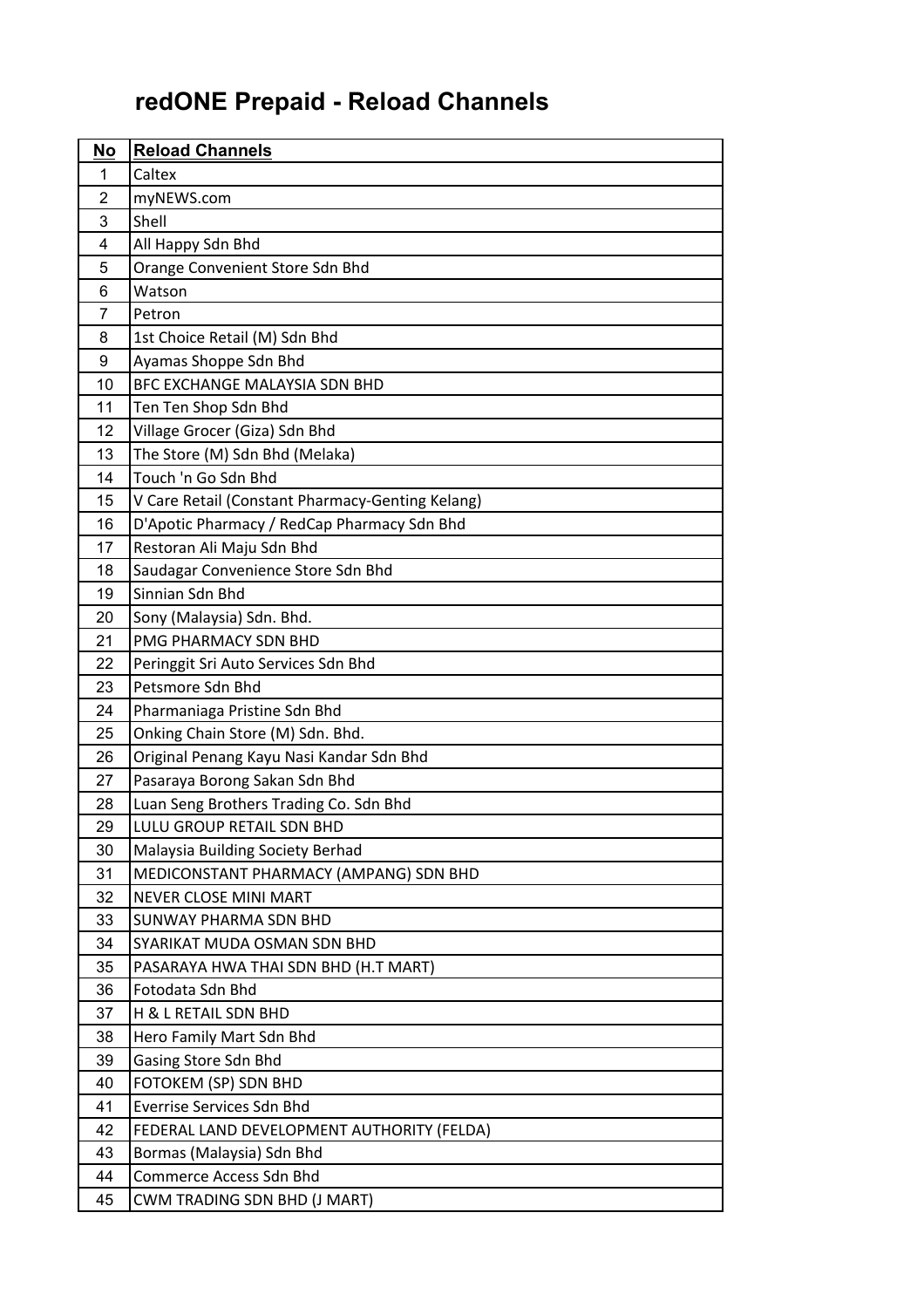## **redONE Prepaid - Reload Channels**

| No | <b>Reload Channels</b>                           |
|----|--------------------------------------------------|
| 1  | Caltex                                           |
| 2  | myNEWS.com                                       |
| 3  | Shell                                            |
| 4  | All Happy Sdn Bhd                                |
| 5  | Orange Convenient Store Sdn Bhd                  |
| 6  | Watson                                           |
| 7  | Petron                                           |
| 8  | 1st Choice Retail (M) Sdn Bhd                    |
| 9  | Ayamas Shoppe Sdn Bhd                            |
| 10 | BFC EXCHANGE MALAYSIA SDN BHD                    |
| 11 | Ten Ten Shop Sdn Bhd                             |
| 12 | Village Grocer (Giza) Sdn Bhd                    |
| 13 | The Store (M) Sdn Bhd (Melaka)                   |
| 14 | Touch 'n Go Sdn Bhd                              |
| 15 | V Care Retail (Constant Pharmacy-Genting Kelang) |
| 16 | D'Apotic Pharmacy / RedCap Pharmacy Sdn Bhd      |
| 17 | Restoran Ali Maju Sdn Bhd                        |
| 18 | Saudagar Convenience Store Sdn Bhd               |
| 19 | Sinnian Sdn Bhd                                  |
| 20 | Sony (Malaysia) Sdn. Bhd.                        |
| 21 | PMG PHARMACY SDN BHD                             |
| 22 | Peringgit Sri Auto Services Sdn Bhd              |
| 23 | Petsmore Sdn Bhd                                 |
| 24 | Pharmaniaga Pristine Sdn Bhd                     |
| 25 | Onking Chain Store (M) Sdn. Bhd.                 |
| 26 | Original Penang Kayu Nasi Kandar Sdn Bhd         |
| 27 | Pasaraya Borong Sakan Sdn Bhd                    |
| 28 | Luan Seng Brothers Trading Co. Sdn Bhd           |
| 29 | LULU GROUP RETAIL SDN BHD                        |
| 30 | Malaysia Building Society Berhad                 |
| 31 | MEDICONSTANT PHARMACY (AMPANG) SDN BHD           |
| 32 | <b>NEVER CLOSE MINI MART</b>                     |
| 33 | SUNWAY PHARMA SDN BHD                            |
| 34 | SYARIKAT MUDA OSMAN SDN BHD                      |
| 35 | PASARAYA HWA THAI SDN BHD (H.T MART)             |
| 36 | Fotodata Sdn Bhd                                 |
| 37 | H & L RETAIL SDN BHD                             |
| 38 | Hero Family Mart Sdn Bhd                         |
| 39 | Gasing Store Sdn Bhd                             |
| 40 | FOTOKEM (SP) SDN BHD                             |
| 41 | <b>Everrise Services Sdn Bhd</b>                 |
| 42 | FEDERAL LAND DEVELOPMENT AUTHORITY (FELDA)       |
| 43 | Bormas (Malaysia) Sdn Bhd                        |
| 44 | Commerce Access Sdn Bhd                          |
| 45 | CWM TRADING SDN BHD (J MART)                     |